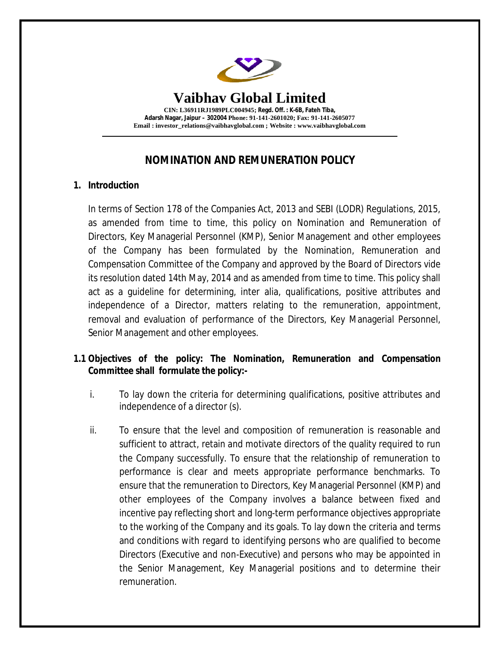

# **NOMINATION AND REMUNERATION POLICY**

# **1. Introduction**

In terms of Section 178 of the Companies Act, 2013 and SEBI (LODR) Regulations, 2015, as amended from time to time, this policy on Nomination and Remuneration of Directors, Key Managerial Personnel (KMP), Senior Management and other employees of the Company has been formulated by the Nomination, Remuneration and Compensation Committee of the Company and approved by the Board of Directors vide its resolution dated 14th May, 2014 and as amended from time to time. This policy shall act as a guideline for determining, inter alia, qualifications, positive attributes and independence of a Director, matters relating to the remuneration, appointment, removal and evaluation of performance of the Directors, Key Managerial Personnel, Senior Management and other employees.

# **1.1 Objectives of the policy: The Nomination, Remuneration and Compensation Committee shall formulate the policy:-**

- i. To lay down the criteria for determining qualifications, positive attributes and independence of a director (s).
- ii. To ensure that the level and composition of remuneration is reasonable and sufficient to attract, retain and motivate directors of the quality required to run the Company successfully. To ensure that the relationship of remuneration to performance is clear and meets appropriate performance benchmarks. To ensure that the remuneration to Directors, Key Managerial Personnel (KMP) and other employees of the Company involves a balance between fixed and incentive pay reflecting short and long-term performance objectives appropriate to the working of the Company and its goals. To lay down the criteria and terms and conditions with regard to identifying persons who are qualified to become Directors (Executive and non-Executive) and persons who may be appointed in the Senior Management, Key Managerial positions and to determine their remuneration.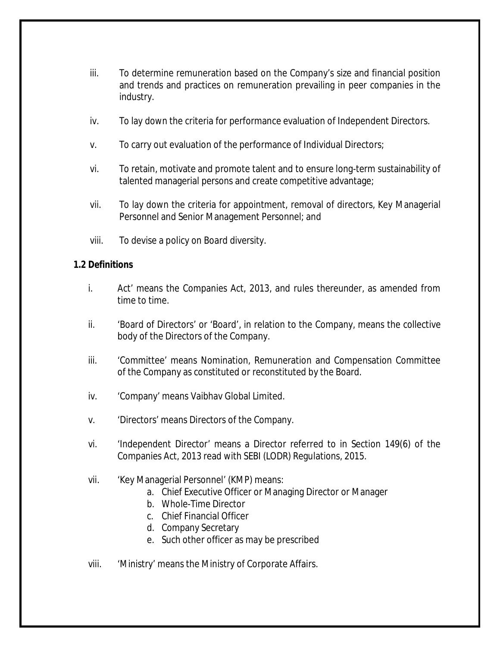- iii. To determine remuneration based on the Company's size and financial position and trends and practices on remuneration prevailing in peer companies in the industry.
- iv. To lay down the criteria for performance evaluation of Independent Directors.
- v. To carry out evaluation of the performance of Individual Directors;
- vi. To retain, motivate and promote talent and to ensure long-term sustainability of talented managerial persons and create competitive advantage;
- vii. To lay down the criteria for appointment, removal of directors, Key Managerial Personnel and Senior Management Personnel; and
- viii. To devise a policy on Board diversity.

#### **1.2 Definitions**

- i. Act' means the Companies Act, 2013, and rules thereunder, as amended from time to time.
- ii. 'Board of Directors' or 'Board', in relation to the Company, means the collective body of the Directors of the Company.
- iii. 'Committee' means Nomination, Remuneration and Compensation Committee of the Company as constituted or reconstituted by the Board.
- iv. 'Company' means Vaibhav Global Limited.
- v. 'Directors' means Directors of the Company.
- vi. 'Independent Director' means a Director referred to in Section 149(6) of the Companies Act, 2013 read with SEBI (LODR) Regulations, 2015.
- vii. 'Key Managerial Personnel' (KMP) means:
	- a. Chief Executive Officer or Managing Director or Manager
	- b. Whole-Time Director
	- c. Chief Financial Officer
	- d. Company Secretary
	- e. Such other officer as may be prescribed
- viii. 'Ministry' means the Ministry of Corporate Affairs.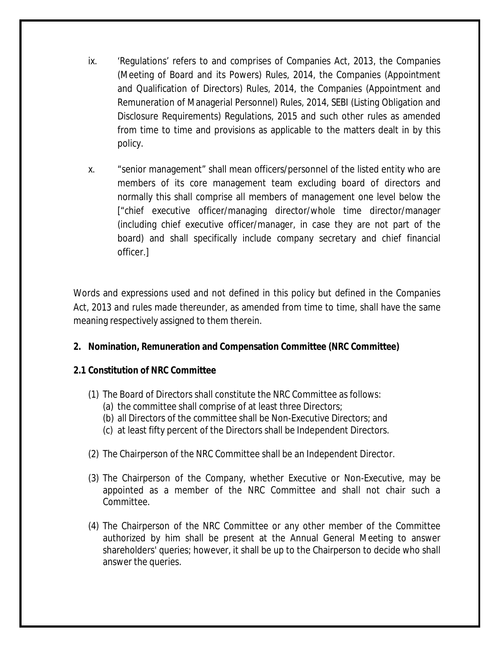- ix. 'Regulations' refers to and comprises of Companies Act, 2013, the Companies (Meeting of Board and its Powers) Rules, 2014, the Companies (Appointment and Qualification of Directors) Rules, 2014, the Companies (Appointment and Remuneration of Managerial Personnel) Rules, 2014, SEBI (Listing Obligation and Disclosure Requirements) Regulations, 2015 and such other rules as amended from time to time and provisions as applicable to the matters dealt in by this policy.
- x. "senior management" shall mean officers/personnel of the listed entity who are members of its core management team excluding board of directors and normally this shall comprise all members of management one level below the ["chief executive officer/managing director/whole time director/manager (including chief executive officer/manager, in case they are not part of the board) and shall specifically include company secretary and chief financial officer.]

Words and expressions used and not defined in this policy but defined in the Companies Act, 2013 and rules made thereunder, as amended from time to time, shall have the same meaning respectively assigned to them therein.

# **2. Nomination, Remuneration and Compensation Committee (NRC Committee)**

# **2.1 Constitution of NRC Committee**

- (1) The Board of Directors shall constitute the NRC Committee as follows:
	- (a) the committee shall comprise of at least three Directors;
	- (b) all Directors of the committee shall be Non-Executive Directors; and
	- (c) at least fifty percent of the Directors shall be Independent Directors.
- (2) The Chairperson of the NRC Committee shall be an Independent Director.
- (3) The Chairperson of the Company, whether Executive or Non-Executive, may be appointed as a member of the NRC Committee and shall not chair such a Committee.
- (4) The Chairperson of the NRC Committee or any other member of the Committee authorized by him shall be present at the Annual General Meeting to answer shareholders' queries; however, it shall be up to the Chairperson to decide who shall answer the queries.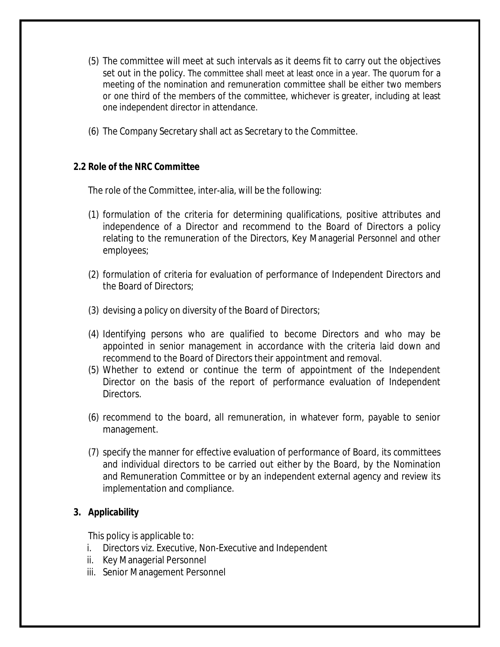- (5) The committee will meet at such intervals as it deems fit to carry out the objectives set out in the policy. The committee shall meet at least once in a year. The quorum for a meeting of the nomination and remuneration committee shall be either two members or one third of the members of the committee, whichever is greater, including at least one independent director in attendance.
- (6) The Company Secretary shall act as Secretary to the Committee.

# **2.2 Role of the NRC Committee**

The role of the Committee, inter-alia, will be the following:

- (1) formulation of the criteria for determining qualifications, positive attributes and independence of a Director and recommend to the Board of Directors a policy relating to the remuneration of the Directors, Key Managerial Personnel and other employees;
- (2) formulation of criteria for evaluation of performance of Independent Directors and the Board of Directors;
- (3) devising a policy on diversity of the Board of Directors;
- (4) Identifying persons who are qualified to become Directors and who may be appointed in senior management in accordance with the criteria laid down and recommend to the Board of Directors their appointment and removal.
- (5) Whether to extend or continue the term of appointment of the Independent Director on the basis of the report of performance evaluation of Independent Directors.
- (6) recommend to the board, all remuneration, in whatever form, payable to senior management.
- (7) specify the manner for effective evaluation of performance of Board, its committees and individual directors to be carried out either by the Board, by the Nomination and Remuneration Committee or by an independent external agency and review its implementation and compliance.

# **3. Applicability**

This policy is applicable to:

- i. Directors viz. Executive, Non-Executive and Independent
- ii. Key Managerial Personnel
- iii. Senior Management Personnel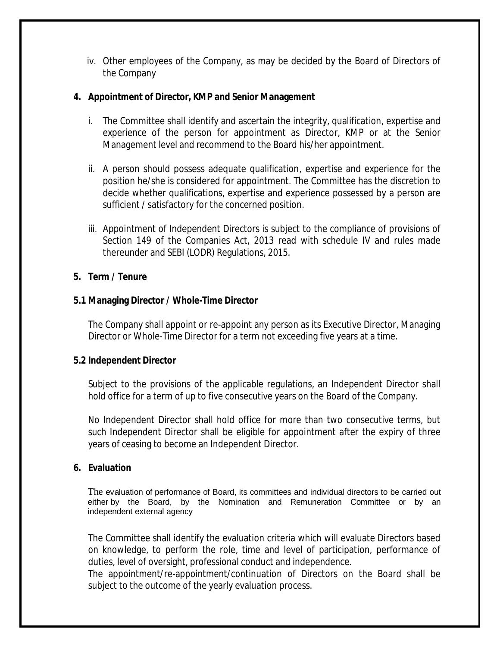iv. Other employees of the Company, as may be decided by the Board of Directors of the Company

#### **4. Appointment of Director, KMP and Senior Management**

- i. The Committee shall identify and ascertain the integrity, qualification, expertise and experience of the person for appointment as Director, KMP or at the Senior Management level and recommend to the Board his/her appointment.
- ii. A person should possess adequate qualification, expertise and experience for the position he/she is considered for appointment. The Committee has the discretion to decide whether qualifications, expertise and experience possessed by a person are sufficient / satisfactory for the concerned position.
- iii. Appointment of Independent Directors is subject to the compliance of provisions of Section 149 of the Companies Act, 2013 read with schedule IV and rules made thereunder and SEBI (LODR) Regulations, 2015.

# **5. Term / Tenure**

# **5.1 Managing Director / Whole-Time Director**

The Company shall appoint or re-appoint any person as its Executive Director, Managing Director or Whole-Time Director for a term not exceeding five years at a time.

# **5.2 Independent Director**

Subject to the provisions of the applicable regulations, an Independent Director shall hold office for a term of up to five consecutive years on the Board of the Company.

No Independent Director shall hold office for more than two consecutive terms, but such Independent Director shall be eligible for appointment after the expiry of three years of ceasing to become an Independent Director.

# **6. Evaluation**

The evaluation of performance of Board, its committees and individual directors to be carried out either by the Board, by the Nomination and Remuneration Committee or by an independent external agency

The Committee shall identify the evaluation criteria which will evaluate Directors based on knowledge, to perform the role, time and level of participation, performance of duties, level of oversight, professional conduct and independence.

The appointment/re-appointment/continuation of Directors on the Board shall be subject to the outcome of the yearly evaluation process.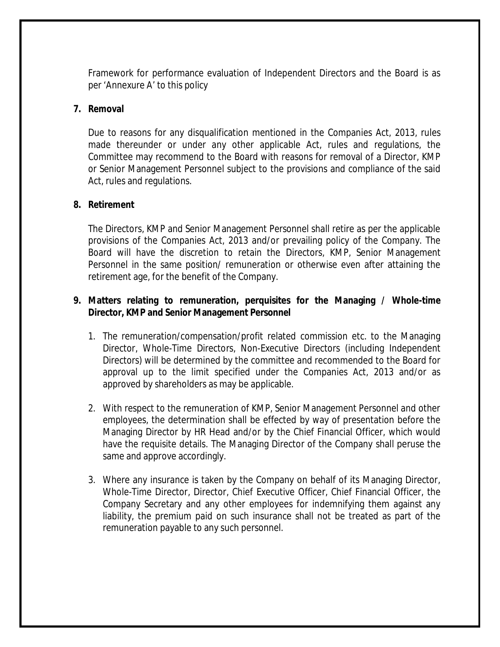Framework for performance evaluation of Independent Directors and the Board is as per 'Annexure A' to this policy

#### **7. Removal**

Due to reasons for any disqualification mentioned in the Companies Act, 2013, rules made thereunder or under any other applicable Act, rules and regulations, the Committee may recommend to the Board with reasons for removal of a Director, KMP or Senior Management Personnel subject to the provisions and compliance of the said Act, rules and regulations.

#### **8. Retirement**

The Directors, KMP and Senior Management Personnel shall retire as per the applicable provisions of the Companies Act, 2013 and/or prevailing policy of the Company. The Board will have the discretion to retain the Directors, KMP, Senior Management Personnel in the same position/ remuneration or otherwise even after attaining the retirement age, for the benefit of the Company.

# **9. Matters relating to remuneration, perquisites for the Managing / Whole-time Director, KMP and Senior Management Personnel**

- 1. The remuneration/compensation/profit related commission etc. to the Managing Director, Whole-Time Directors, Non-Executive Directors (including Independent Directors) will be determined by the committee and recommended to the Board for approval up to the limit specified under the Companies Act, 2013 and/or as approved by shareholders as may be applicable.
- 2. With respect to the remuneration of KMP, Senior Management Personnel and other employees, the determination shall be effected by way of presentation before the Managing Director by HR Head and/or by the Chief Financial Officer, which would have the requisite details. The Managing Director of the Company shall peruse the same and approve accordingly.
- 3. Where any insurance is taken by the Company on behalf of its Managing Director, Whole-Time Director, Director, Chief Executive Officer, Chief Financial Officer, the Company Secretary and any other employees for indemnifying them against any liability, the premium paid on such insurance shall not be treated as part of the remuneration payable to any such personnel.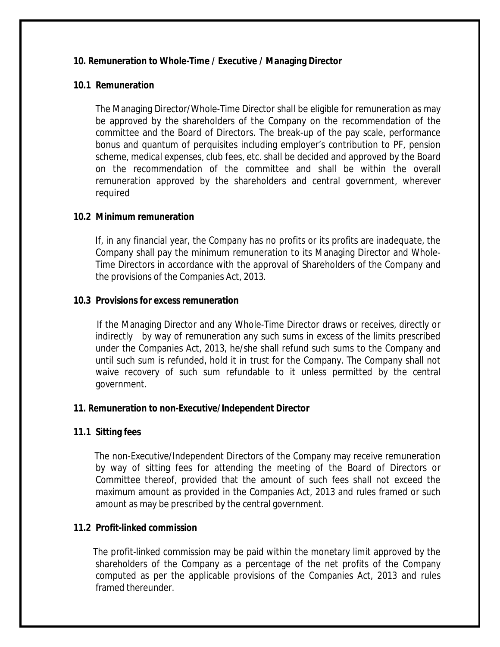#### **10. Remuneration to Whole-Time / Executive / Managing Director**

#### **10.1 Remuneration**

The Managing Director/Whole-Time Director shall be eligible for remuneration as may be approved by the shareholders of the Company on the recommendation of the committee and the Board of Directors. The break-up of the pay scale, performance bonus and quantum of perquisites including employer's contribution to PF, pension scheme, medical expenses, club fees, etc. shall be decided and approved by the Board on the recommendation of the committee and shall be within the overall remuneration approved by the shareholders and central government, wherever required

#### **10.2 Minimum remuneration**

 If, in any financial year, the Company has no profits or its profits are inadequate, the Company shall pay the minimum remuneration to its Managing Director and Whole-Time Directors in accordance with the approval of Shareholders of the Company and the provisions of the Companies Act, 2013.

# **10.3 Provisions for excess remuneration**

 If the Managing Director and any Whole-Time Director draws or receives, directly or indirectly by way of remuneration any such sums in excess of the limits prescribed under the Companies Act, 2013, he/she shall refund such sums to the Company and until such sum is refunded, hold it in trust for the Company. The Company shall not waive recovery of such sum refundable to it unless permitted by the central government.

# **11. Remuneration to non-Executive/Independent Director**

# **11.1 Sitting fees**

 The non-Executive/Independent Directors of the Company may receive remuneration by way of sitting fees for attending the meeting of the Board of Directors or Committee thereof, provided that the amount of such fees shall not exceed the maximum amount as provided in the Companies Act, 2013 and rules framed or such amount as may be prescribed by the central government.

# **11.2 Profit-linked commission**

 The profit-linked commission may be paid within the monetary limit approved by the shareholders of the Company as a percentage of the net profits of the Company computed as per the applicable provisions of the Companies Act, 2013 and rules framed thereunder.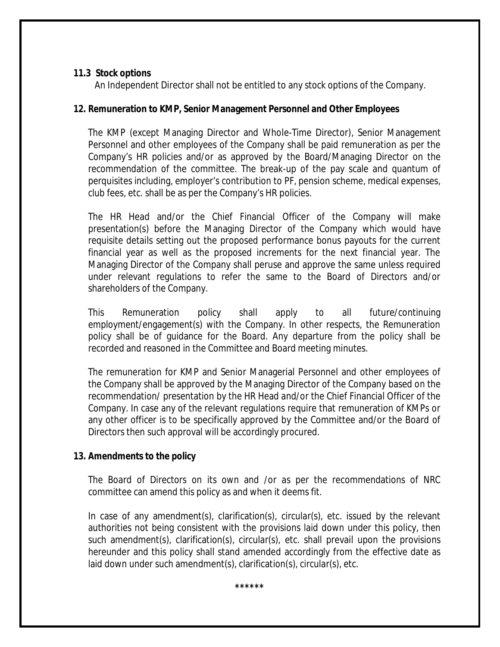#### **11.3 Stock options**

An Independent Director shall not be entitled to any stock options of the Company.

# **12. Remuneration to KMP, Senior Management Personnel and Other Employees**

The KMP (except Managing Director and Whole-Time Director), Senior Management Personnel and other employees of the Company shall be paid remuneration as per the Company's HR policies and/or as approved by the Board/Managing Director on the recommendation of the committee. The break-up of the pay scale and quantum of perquisites including, employer's contribution to PF, pension scheme, medical expenses, club fees, etc. shall be as per the Company's HR policies.

The HR Head and/or the Chief Financial Officer of the Company will make presentation(s) before the Managing Director of the Company which would have requisite details setting out the proposed performance bonus payouts for the current financial year as well as the proposed increments for the next financial year. The Managing Director of the Company shall peruse and approve the same unless required under relevant regulations to refer the same to the Board of Directors and/or shareholders of the Company.

This Remuneration policy shall apply to all future/continuing employment/engagement(s) with the Company. In other respects, the Remuneration policy shall be of guidance for the Board. Any departure from the policy shall be recorded and reasoned in the Committee and Board meeting minutes.

The remuneration for KMP and Senior Managerial Personnel and other employees of the Company shall be approved by the Managing Director of the Company based on the recommendation/ presentation by the HR Head and/or the Chief Financial Officer of the Company. In case any of the relevant regulations require that remuneration of KMPs or any other officer is to be specifically approved by the Committee and/or the Board of Directors then such approval will be accordingly procured.

# **13. Amendments to the policy**

The Board of Directors on its own and /or as per the recommendations of NRC committee can amend this policy as and when it deems fit.

In case of any amendment(s), clarification(s), circular(s), etc. issued by the relevant authorities not being consistent with the provisions laid down under this policy, then such amendment(s), clarification(s), circular(s), etc. shall prevail upon the provisions hereunder and this policy shall stand amended accordingly from the effective date as laid down under such amendment(s), clarification(s), circular(s), etc.

**\*\*\*\*\*\***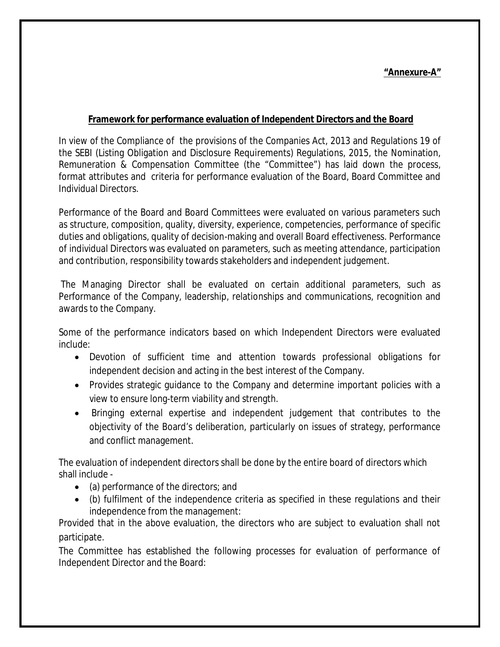# **"Annexure-A"**

# **Framework for performance evaluation of Independent Directors and the Board**

In view of the Compliance of the provisions of the Companies Act, 2013 and Regulations 19 of the SEBI (Listing Obligation and Disclosure Requirements) Regulations, 2015, the Nomination, Remuneration & Compensation Committee (the "Committee") has laid down the process, format attributes and criteria for performance evaluation of the Board, Board Committee and Individual Directors.

Performance of the Board and Board Committees were evaluated on various parameters such as structure, composition, quality, diversity, experience, competencies, performance of specific duties and obligations, quality of decision-making and overall Board effectiveness. Performance of individual Directors was evaluated on parameters, such as meeting attendance, participation and contribution, responsibility towards stakeholders and independent judgement.

The Managing Director shall be evaluated on certain additional parameters, such as Performance of the Company, leadership, relationships and communications, recognition and awards to the Company.

Some of the performance indicators based on which Independent Directors were evaluated include:

- Devotion of sufficient time and attention towards professional obligations for independent decision and acting in the best interest of the Company.
- Provides strategic guidance to the Company and determine important policies with a view to ensure long-term viability and strength.
- Bringing external expertise and independent judgement that contributes to the objectivity of the Board's deliberation, particularly on issues of strategy, performance and conflict management.

The evaluation of independent directors shall be done by the entire board of directors which shall include -

- (a) performance of the directors; and
- (b) fulfilment of the independence criteria as specified in these regulations and their independence from the management:

Provided that in the above evaluation, the directors who are subject to evaluation shall not participate.

The Committee has established the following processes for evaluation of performance of Independent Director and the Board: